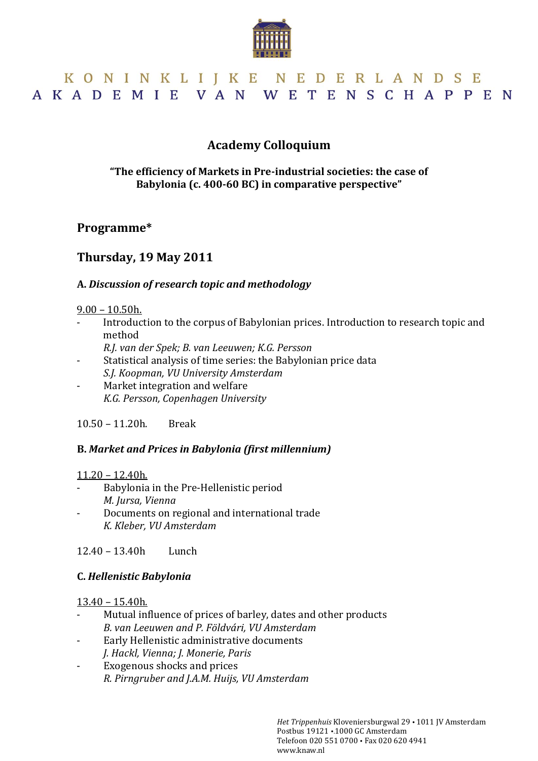

# KONINKLIJKE NEDERLANDSE AKADEMIE VAN WETENSCHAPPEN

## **Academy Colloquium**

#### **"The efficiency of Markets in Pre-industrial societies: the case of Babylonia (c. 400-60 BC) in comparative perspective"**

## **Programme\***

## **Thursday, 19 May 2011**

#### **A.** *Discussion of research topic and methodology*

#### 9.00 – 10.50h.

- Introduction to the corpus of Babylonian prices. Introduction to research topic and method
	- *R.J. van der Spek; B. van Leeuwen; K.G. Persson*
- Statistical analysis of time series: the Babylonian price data *S.J. Koopman, VU University Amsterdam*
- Market integration and welfare *K.G. Persson, Copenhagen University*

10.50 – 11.20h. Break

### **B.** *Market and Prices in Babylonia (first millennium)*

#### 11.20 – 12.40h.

- Babylonia in the Pre-Hellenistic period *M. Jursa, Vienna*
- Documents on regional and international trade *K. Kleber, VU Amsterdam*

12.40 – 13.40h Lunch

#### **C.** *Hellenistic Babylonia*

#### 13.40 – 15.40h.

- Mutual influence of prices of barley, dates and other products *B. van Leeuwen and P. Földvári, VU Amsterdam*
- Early Hellenistic administrative documents *J. Hackl, Vienna; J. Monerie, Paris*
- Exogenous shocks and prices *R. Pirngruber and J.A.M. Huijs, VU Amsterdam*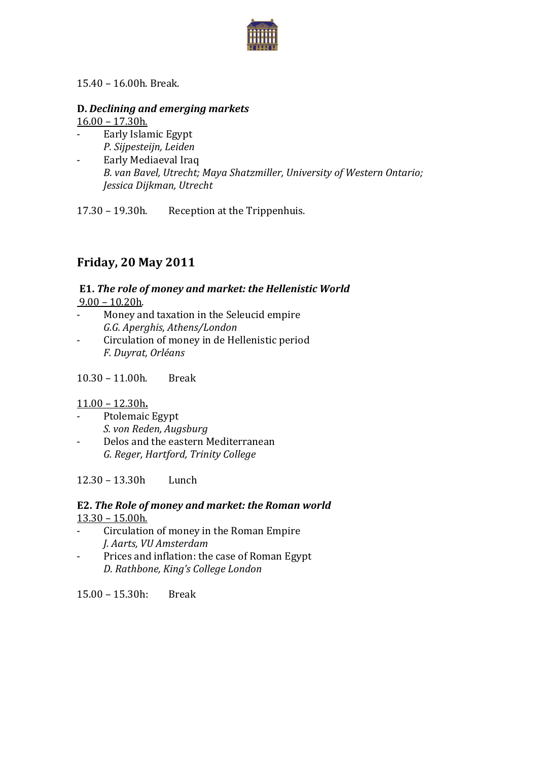

#### 15.40 – 16.00h. Break.

#### **D.** *Declining and emerging markets*

16.00 – 17.30h.

- Early Islamic Egypt *P. Sijpesteijn, Leiden*
- Early Mediaeval Iraq *B. van Bavel, Utrecht; Maya Shatzmiller, University of Western Ontario; Jessica Dijkman, Utrecht*

17.30 – 19.30h. Reception at the Trippenhuis.

# **Friday, 20 May 2011**

# **E1.** *The role of money and market: the Hellenistic World*

9.00 – 10.20h.

- Money and taxation in the Seleucid empire *G.G. Aperghis, Athens/London*
- Circulation of money in de Hellenistic period *F. Duyrat, Orléans*

10.30 – 11.00h. Break

#### 11.00 – 12.30h**.**

- Ptolemaic Egypt *S. von Reden, Augsburg*
- Delos and the eastern Mediterranean *G. Reger, Hartford, Trinity College*

12.30 – 13.30h Lunch

### **E2.** *The Role of money and market: the Roman world* 13.30 – 15.00h.

- Circulation of money in the Roman Empire *J. Aarts, VU Amsterdam*
- Prices and inflation: the case of Roman Egypt *D. Rathbone, King's College London*

 $15.00 - 15.30h$  Break